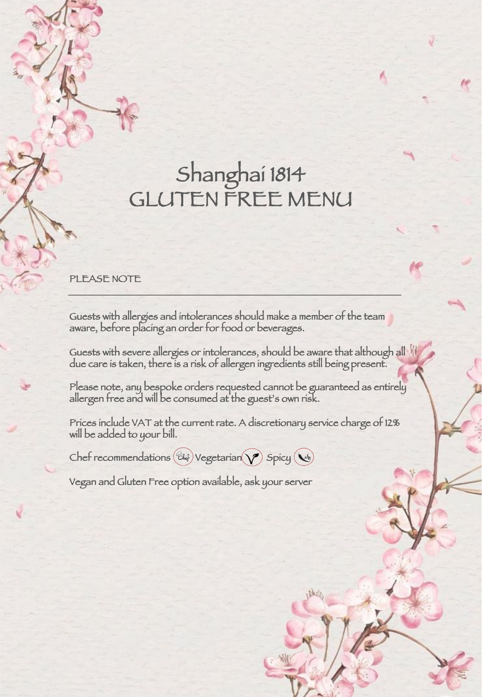## Shanghai 1814 GLUTEN FREE MENU

## PLEASE NOTE

Guests with allergies and intolerances should make a member of the team aware, before placing an order for food or beverages.

Guests with severe allergies or intolerances, should be aware that although all due care is taken, there is a risk of allergen ingredients still being present.

Please note, any bespoke orders requested cannot be guaranteed as entirely allergen free and will be consumed at the guest's own risk.

Prices include VAT at the current rate. A discretionary service charge of 12% will be added to your bill.

 $Chef$  recommendations  $(\mathcal{C}\mathcal{H})$  Vegetarian  $\blacklozenge$  Spicy  $(\blacktriangle_{\!\!\mathit{M}})$ 

Vegan and Gluten Free option available, ask your server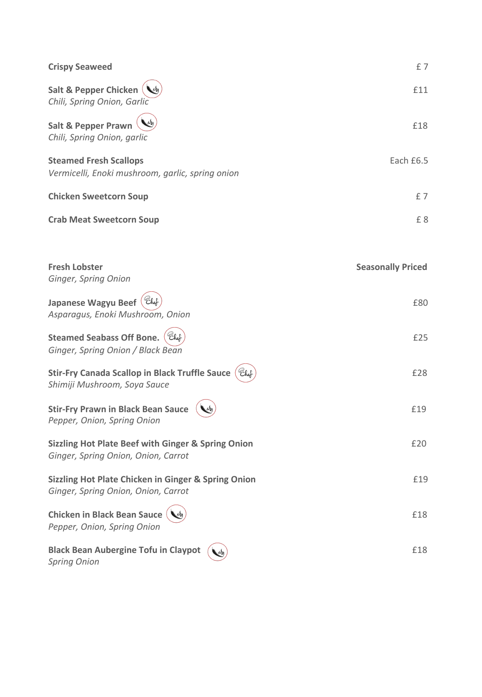| <b>Crispy Seaweed</b>                                                                                 | £7                       |
|-------------------------------------------------------------------------------------------------------|--------------------------|
| Salt & Pepper Chicken<br>Chili, Spring Onion, Garlic                                                  | £11                      |
| <b>Salt &amp; Pepper Prawn</b><br>Chili, Spring Onion, garlic                                         | £18                      |
| <b>Steamed Fresh Scallops</b><br>Vermicelli, Enoki mushroom, garlic, spring onion                     | Each £6.5                |
| <b>Chicken Sweetcorn Soup</b>                                                                         | £7                       |
| <b>Crab Meat Sweetcorn Soup</b>                                                                       | £8                       |
| <b>Fresh Lobster</b>                                                                                  | <b>Seasonally Priced</b> |
| Ginger, Spring Onion                                                                                  |                          |
| Japanese Wagyu Beef (Ehef<br>Asparagus, Enoki Mushroom, Onion                                         | £80                      |
| <b>Steamed Seabass Off Bone.</b><br>Ginger, Spring Onion / Black Bean                                 | £25                      |
| Stir-Fry Canada Scallop in Black Truffle Sauce (Eht<br>Shimiji Mushroom, Soya Sauce                   | £28                      |
| <b>Stir-Fry Prawn in Black Bean Sauce</b><br>Pepper, Onion, Spring Onion                              | £19                      |
| <b>Sizzling Hot Plate Beef with Ginger &amp; Spring Onion</b><br>Ginger, Spring Onion, Onion, Carrot  | £20                      |
| <b>Sizzling Hot Plate Chicken in Ginger &amp; Spring Onion</b><br>Ginger, Spring Onion, Onion, Carrot | £19                      |
| <b>Chicken in Black Bean Sauce</b><br>Pepper, Onion, Spring Onion                                     | £18                      |
| <b>Black Bean Aubergine Tofu in Claypot</b><br><b>Spring Onion</b>                                    | £18                      |